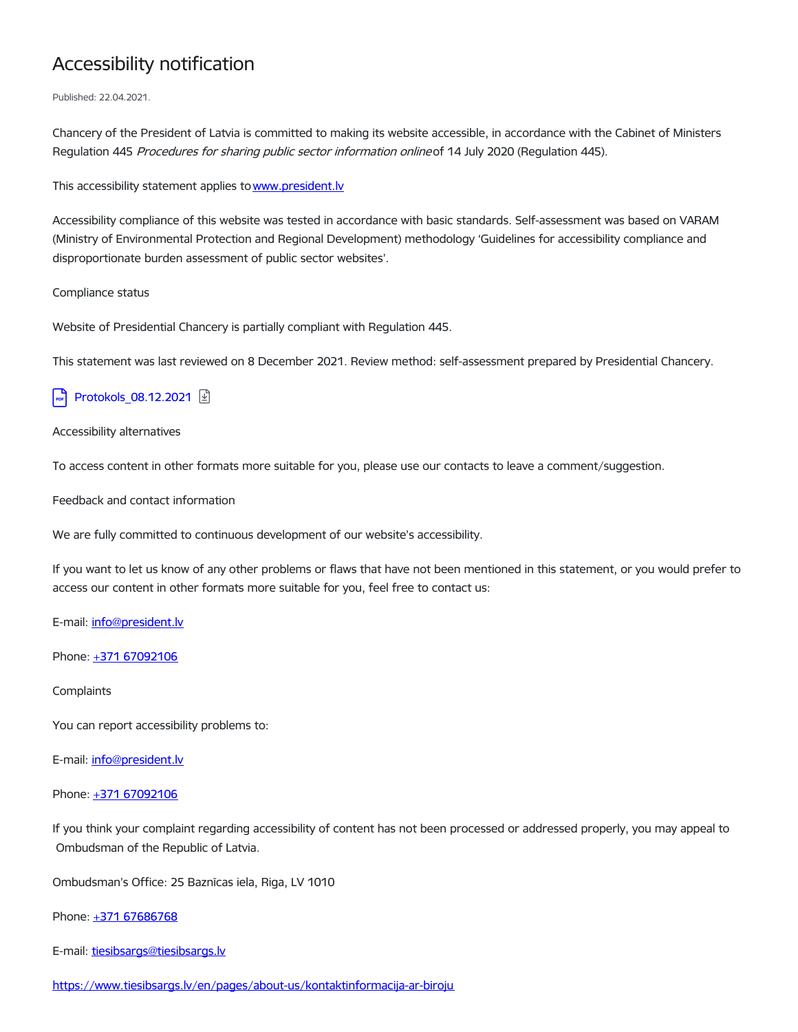# Accessibility notification

Published: 22.04.2021.

Chancery of the President of Latvia is committed to making its website accessible, in accordance with the Cabinet of Ministers Regulation 445 Procedures for sharing public sector information onlineof 14 July 2020 (Regulation 445).

This accessibility statement applies to www.president.ly

Accessibility compliance of this website was tested in accordance with basic standards. Self-assessment was based on VARAM (Ministry of Environmental Protection and Regional Development) methodology 'Guidelines for accessibility compliance and disproportionate burden assessment of public sector websites'.

Compliance status

Website of Presidential Chancery is partially compliant with Regulation 445.

This statement was last reviewed on 8 December 2021. Review method: self-assessment prepared by Presidential Chancery.

## [Protokols\\_08.12.2021](https://www.president.lv/en/media/91878/download) 2

### Accessibility alternatives

To access content in other formats more suitable for you, please use our contacts to leave a comment/suggestion.

Feedback and contact information

We are fully committed to continuous development of our website's accessibility.

If you want to let us know of any other problems or flaws that have not been mentioned in this statement, or you would prefer to access our content in other formats more suitable for you, feel free to contact us:

E-mail: [info@president.lv](mailto:info@president.lv)

Phone: +371 [67092106](tel:67092106)

### **Complaints**

You can report accessibility problems to:

E-mail: [info@president.lv](mailto:info@president.lv)

### Phone: +371 [67092106](tel:67092106)

If you think your complaint regarding accessibility of content has not been processed or addressed properly, you may appeal to Ombudsman of the Republic of Latvia.

Ombudsman's Office: 25 Baznīcas iela, Riga, LV 1010

### Phone: +371 [67686768](tel:mailto:67686768)

E-mail: [tiesibsargs@tiesibsargs.lv](mailto:tiesibsargs@tiesibsargs.lv)

<https://www.tiesibsargs.lv/en/pages/about-us/kontaktinformacija-ar-biroju>